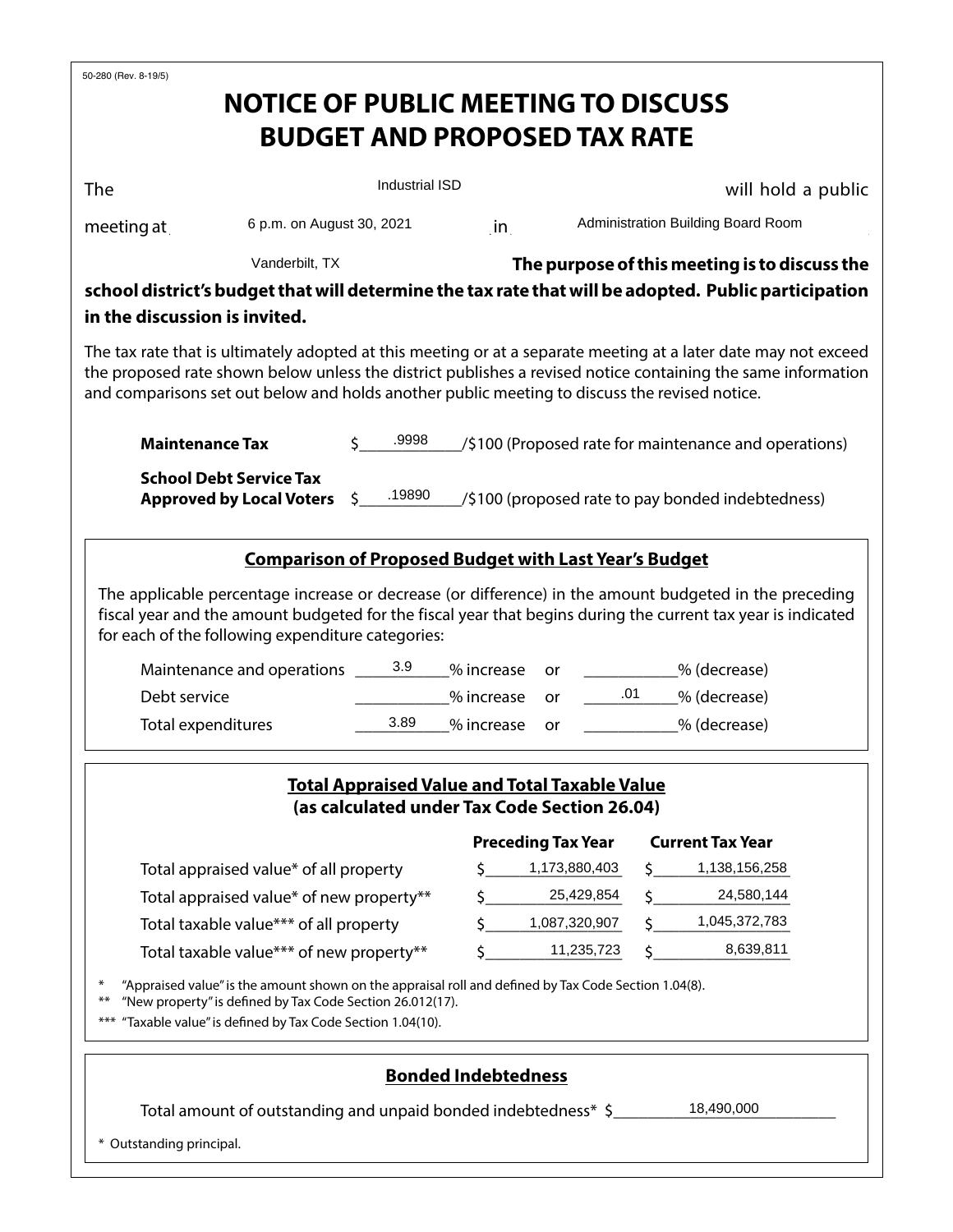| 50-280 (Rev. 8-19/5)                                                                                                                                                                                          |                                                                                                      |                       |                            |                                                      |                                                                 |                                                       |  |  |
|---------------------------------------------------------------------------------------------------------------------------------------------------------------------------------------------------------------|------------------------------------------------------------------------------------------------------|-----------------------|----------------------------|------------------------------------------------------|-----------------------------------------------------------------|-------------------------------------------------------|--|--|
|                                                                                                                                                                                                               | <b>NOTICE OF PUBLIC MEETING TO DISCUSS</b>                                                           |                       |                            |                                                      |                                                                 |                                                       |  |  |
|                                                                                                                                                                                                               |                                                                                                      |                       |                            | <b>BUDGET AND PROPOSED TAX RATE</b>                  |                                                                 |                                                       |  |  |
|                                                                                                                                                                                                               |                                                                                                      |                       |                            |                                                      |                                                                 |                                                       |  |  |
| The                                                                                                                                                                                                           |                                                                                                      | <b>Industrial ISD</b> |                            |                                                      |                                                                 | will hold a public                                    |  |  |
| meeting at ________                                                                                                                                                                                           |                                                                                                      |                       |                            |                                                      |                                                                 |                                                       |  |  |
|                                                                                                                                                                                                               |                                                                                                      |                       |                            |                                                      | 6 p.m. on August 30, 2021 in Administration Building Board Room |                                                       |  |  |
|                                                                                                                                                                                                               | Vanderbilt, TX                                                                                       |                       |                            |                                                      |                                                                 | The purpose of this meeting is to discuss the         |  |  |
| school district's budget that will determine the tax rate that will be adopted. Public participation                                                                                                          |                                                                                                      |                       |                            |                                                      |                                                                 |                                                       |  |  |
| in the discussion is invited.                                                                                                                                                                                 |                                                                                                      |                       |                            |                                                      |                                                                 |                                                       |  |  |
| The tax rate that is ultimately adopted at this meeting or at a separate meeting at a later date may not exceed                                                                                               |                                                                                                      |                       |                            |                                                      |                                                                 |                                                       |  |  |
| the proposed rate shown below unless the district publishes a revised notice containing the same information<br>and comparisons set out below and holds another public meeting to discuss the revised notice. |                                                                                                      |                       |                            |                                                      |                                                                 |                                                       |  |  |
|                                                                                                                                                                                                               |                                                                                                      |                       |                            |                                                      |                                                                 |                                                       |  |  |
| <b>Maintenance Tax</b>                                                                                                                                                                                        |                                                                                                      | .9998                 |                            |                                                      |                                                                 | /\$100 (Proposed rate for maintenance and operations) |  |  |
|                                                                                                                                                                                                               | <b>School Debt Service Tax</b>                                                                       |                       |                            |                                                      |                                                                 |                                                       |  |  |
|                                                                                                                                                                                                               | <b>Approved by Local Voters</b>                                                                      | $\zeta$ .19890        |                            |                                                      |                                                                 | (\$100 (proposed rate to pay bonded indebtedness)     |  |  |
|                                                                                                                                                                                                               |                                                                                                      |                       |                            |                                                      |                                                                 |                                                       |  |  |
|                                                                                                                                                                                                               | <b>Comparison of Proposed Budget with Last Year's Budget</b>                                         |                       |                            |                                                      |                                                                 |                                                       |  |  |
| The applicable percentage increase or decrease (or difference) in the amount budgeted in the preceding                                                                                                        |                                                                                                      |                       |                            |                                                      |                                                                 |                                                       |  |  |
| fiscal year and the amount budgeted for the fiscal year that begins during the current tax year is indicated                                                                                                  |                                                                                                      |                       |                            |                                                      |                                                                 |                                                       |  |  |
| for each of the following expenditure categories:                                                                                                                                                             |                                                                                                      |                       |                            |                                                      |                                                                 |                                                       |  |  |
|                                                                                                                                                                                                               | Maintenance and operations ________________% increase                                                |                       |                            | or                                                   |                                                                 | _____________% (decrease)                             |  |  |
| Debt service                                                                                                                                                                                                  |                                                                                                      | % increase            | .01 % (decrease)<br>or     |                                                      |                                                                 |                                                       |  |  |
| Total expenditures                                                                                                                                                                                            |                                                                                                      | 3.89                  | % increase                 | or                                                   |                                                                 | % (decrease)                                          |  |  |
|                                                                                                                                                                                                               |                                                                                                      |                       |                            |                                                      |                                                                 |                                                       |  |  |
|                                                                                                                                                                                                               |                                                                                                      |                       |                            | <b>Total Appraised Value and Total Taxable Value</b> |                                                                 |                                                       |  |  |
|                                                                                                                                                                                                               |                                                                                                      |                       |                            | (as calculated under Tax Code Section 26.04)         |                                                                 |                                                       |  |  |
|                                                                                                                                                                                                               |                                                                                                      |                       |                            | <b>Preceding Tax Year</b>                            |                                                                 | <b>Current Tax Year</b>                               |  |  |
| Total appraised value* of all property                                                                                                                                                                        |                                                                                                      |                       | Ŝ.                         | 1,173,880,403                                        |                                                                 | 1,138,156,258                                         |  |  |
| Total appraised value* of new property**                                                                                                                                                                      |                                                                                                      |                       | \$                         | 25,429,854                                           |                                                                 | 24,580,144                                            |  |  |
| Total taxable value*** of all property                                                                                                                                                                        |                                                                                                      |                       | Ś.                         | 1,087,320,907                                        |                                                                 | 1,045,372,783                                         |  |  |
| Total taxable value*** of new property**                                                                                                                                                                      |                                                                                                      |                       | \$                         | 11,235,723                                           |                                                                 | 8,639,811                                             |  |  |
| ⋇                                                                                                                                                                                                             | "Appraised value" is the amount shown on the appraisal roll and defined by Tax Code Section 1.04(8). |                       |                            |                                                      |                                                                 |                                                       |  |  |
| "New property" is defined by Tax Code Section 26.012(17).<br>$**$<br>*** "Taxable value" is defined by Tax Code Section 1.04(10).                                                                             |                                                                                                      |                       |                            |                                                      |                                                                 |                                                       |  |  |
|                                                                                                                                                                                                               |                                                                                                      |                       |                            |                                                      |                                                                 |                                                       |  |  |
|                                                                                                                                                                                                               |                                                                                                      |                       | <b>Bonded Indebtedness</b> |                                                      |                                                                 |                                                       |  |  |
| 18,490,000<br>Total amount of outstanding and unpaid bonded indebtedness* \$                                                                                                                                  |                                                                                                      |                       |                            |                                                      |                                                                 |                                                       |  |  |
|                                                                                                                                                                                                               |                                                                                                      |                       |                            |                                                      |                                                                 |                                                       |  |  |
| * Outstanding principal.                                                                                                                                                                                      |                                                                                                      |                       |                            |                                                      |                                                                 |                                                       |  |  |